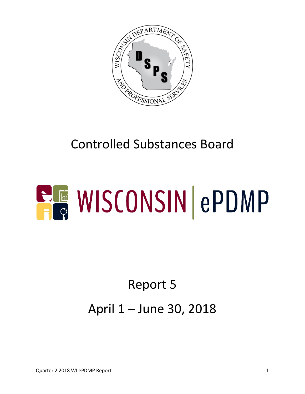

# Controlled Substances Board

# **ELE WISCONSIN ePDMP**

# Report 5 April 1 – June 30, 2018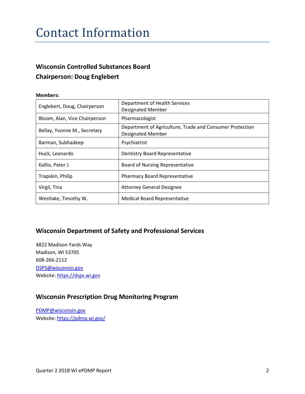# Contact Information

#### **Wisconsin Controlled Substances Board Chairperson: Doug Englebert**

#### **Members:**

| Englebert, Doug, Chairperson  | Department of Health Services<br><b>Designated Member</b>                            |  |
|-------------------------------|--------------------------------------------------------------------------------------|--|
| Bloom, Alan, Vice Chairperson | Pharmacologist                                                                       |  |
| Bellay, Yvonne M., Secretary  | Department of Agriculture, Trade and Consumer Protection<br><b>Designated Member</b> |  |
| Barman, Subhadeep             | Psychiatrist                                                                         |  |
| Huck, Leonardo                | <b>Dentistry Board Representative</b>                                                |  |
| Kallio, Peter J.              | <b>Board of Nursing Representative</b>                                               |  |
| Trapskin, Philip              | <b>Pharmacy Board Representative</b>                                                 |  |
| Virgil, Tina                  | <b>Attorney General Designee</b>                                                     |  |
| Westlake, Timothy W.          | <b>Medical Board Representative</b>                                                  |  |

#### **Wisconsin Department of Safety and Professional Services**

4822 Madison Yards Way Madison, WI 53705 608-266-2112 [DSPS@wisconsin.gov](mailto:DSPS@wisconsin.gov) Website[: https://dsps.wi.gov](https://dsps.wi.gov/)

#### **Wisconsin Prescription Drug Monitoring Program**

[PDMP@wisconsin.gov](mailto:PDMP@wisconsin.gov) Website[: https://pdmp.wi.gov/](https://pdmp.wi.gov/)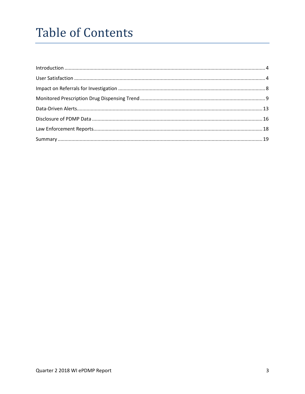# **Table of Contents**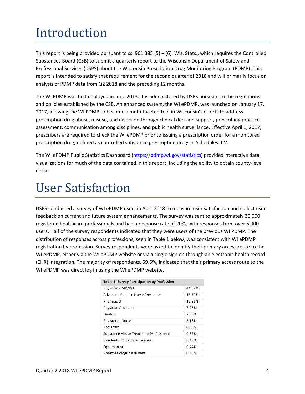# <span id="page-3-0"></span>Introduction

This report is being provided pursuant to ss.  $961.385(5) - (6)$ , Wis. Stats., which requires the Controlled Substances Board (CSB) to submit a quarterly report to the Wisconsin Department of Safety and Professional Services (DSPS) about the Wisconsin Prescription Drug Monitoring Program (PDMP). This report is intended to satisfy that requirement for the second quarter of 2018 and will primarily focus on analysis of PDMP data from Q2 2018 and the preceding 12 months.

The WI PDMP was first deployed in June 2013. It is administered by DSPS pursuant to the regulations and policies established by the CSB. An enhanced system, the WI ePDMP, was launched on January 17, 2017, allowing the WI PDMP to become a multi-faceted tool in Wisconsin's efforts to address prescription drug abuse, misuse, and diversion through clinical decision support, prescribing practice assessment, communication among disciplines, and public health surveillance. Effective April 1, 2017, prescribers are required to check the WI ePDMP prior to issuing a prescription order for a monitored prescription drug, defined as controlled substance prescription drugs in Schedules II-V.

The WI ePDMP Public Statistics Dashboard [\(https://pdmp.wi.gov/statistics\)](https://pdmp.wi.gov/statistics) provides interactive data visualizations for much of the data contained in this report, including the ability to obtain county-level detail.

# <span id="page-3-1"></span>User Satisfaction

DSPS conducted a survey of WI ePDMP users in April 2018 to measure user satisfaction and collect user feedback on current and future system enhancements. The survey was sent to approximately 30,000 registered healthcare professionals and had a response rate of 20%, with responses from over 6,000 users. Half of the survey respondents indicated that they were users of the previous WI PDMP. The distribution of responses across professions, seen in Table 1 below, was consistent with WI ePDMP registration by profession. Survey respondents were asked to identify their primary access route to the WI ePDMP, either via the WI ePDMP website or via a single sign on through an electronic health record (EHR) integration. The majority of respondents, 59.5%, indicated that their primary access route to the WI ePDMP was direct log in using the WI ePDMP website.

| <b>Table 1: Survey Participation by Profession</b> |        |
|----------------------------------------------------|--------|
| Physician - MD/DO                                  | 44.57% |
| Advanced Practice Nurse Prescriber                 | 18.39% |
| Pharmacist                                         | 15.31% |
| Physician Assistant                                | 7.96%  |
| Dentist                                            | 7.58%  |
| <b>Registered Nurse</b>                            | 3.16%  |
| Podiatrist                                         | 0.88%  |
| <b>Substance Abuse Treatment Professional</b>      | 0.57%  |
| Resident (Educational License)                     | 0.49%  |
| Optometrist                                        | 0.44%  |
| Anesthesiologist Assistant                         | 0.05%  |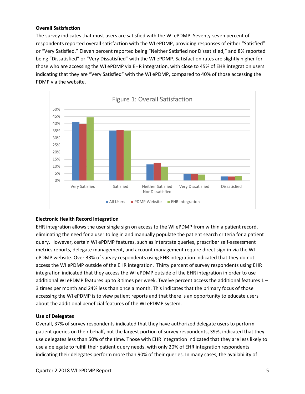#### **Overall Satisfaction**

The survey indicates that most users are satisfied with the WI ePDMP. Seventy-seven percent of respondents reported overall satisfaction with the WI ePDMP, providing responses of either "Satisfied" or "Very Satisfied." Eleven percent reported being "Neither Satisfied nor Dissatisfied," and 8% reported being "Dissatisfied" or "Very Dissatisfied" with the WI ePDMP. Satisfaction rates are slightly higher for those who are accessing the WI ePDMP via EHR integration, with close to 45% of EHR integration users indicating that they are "Very Satisfied" with the WI ePDMP, compared to 40% of those accessing the PDMP via the website.



#### **Electronic Health Record Integration**

EHR integration allows the user single sign on access to the WI ePDMP from within a patient record, eliminating the need for a user to log in and manually populate the patient search criteria for a patient query. However, certain WI ePDMP features, such as interstate queries, prescriber self-assessment metrics reports, delegate management, and account management require direct sign-in via the WI ePDMP website. Over 33% of survey respondents using EHR integration indicated that they do not access the WI ePDMP outside of the EHR integration. Thirty percent of survey respondents using EHR integration indicated that they access the WI ePDMP outside of the EHR integration in order to use additional WI ePDMP features up to 3 times per week. Twelve percent access the additional features 1 – 3 times per month and 24% less than once a month. This indicates that the primary focus of those accessing the WI ePDMP is to view patient reports and that there is an opportunity to educate users about the additional beneficial features of the WI ePDMP system.

#### **Use of Delegates**

Overall, 37% of survey respondents indicated that they have authorized delegate users to perform patient queries on their behalf, but the largest portion of survey respondents, 39%, indicated that they use delegates less than 50% of the time. Those with EHR integration indicated that they are less likely to use a delegate to fulfill their patient query needs, with only 20% of EHR integration respondents indicating their delegates perform more than 90% of their queries. In many cases, the availability of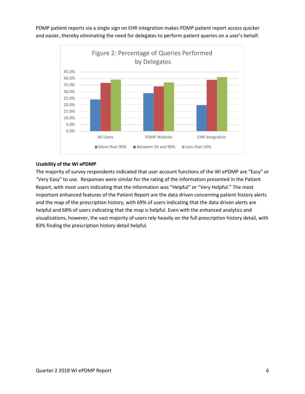PDMP patient reports via a single sign on EHR integration makes PDMP patient report access quicker and easier, thereby eliminating the need for delegates to perform patient queries on a user's behalf.



#### **Usability of the WI ePDMP**

The majority of survey respondents indicated that user account functions of the WI ePDMP are "Easy" or "Very Easy" to use. Responses were similar for the rating of the information presented in the Patient Report, with most users indicating that the information was "Helpful" or "Very Helpful." The most important enhanced features of the Patient Report are the data driven concerning patient history alerts and the map of the prescription history, with 69% of users indicating that the data driven alerts are helpful and 68% of users indicating that the map is helpful. Even with the enhanced analytics and visualizations, however, the vast majority of users rely heavily on the full prescription history detail, with 83% finding the prescription history detail helpful.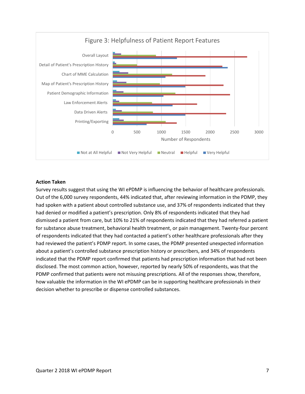

#### **Action Taken**

Survey results suggest that using the WI ePDMP is influencing the behavior of healthcare professionals. Out of the 6,000 survey respondents, 44% indicated that, after reviewing information in the PDMP, they had spoken with a patient about controlled substance use, and 37% of respondents indicated that they had denied or modified a patient's prescription. Only 8% of respondents indicated that they had dismissed a patient from care, but 10% to 21% of respondents indicated that they had referred a patient for substance abuse treatment, behavioral health treatment, or pain management. Twenty-four percent of respondents indicated that they had contacted a patient's other healthcare professionals after they had reviewed the patient's PDMP report. In some cases, the PDMP presented unexpected information about a patient's controlled substance prescription history or prescribers, and 34% of respondents indicated that the PDMP report confirmed that patients had prescription information that had not been disclosed. The most common action, however, reported by nearly 50% of respondents, was that the PDMP confirmed that patients were not misusing prescriptions. All of the responses show, therefore, how valuable the information in the WI ePDMP can be in supporting healthcare professionals in their decision whether to prescribe or dispense controlled substances.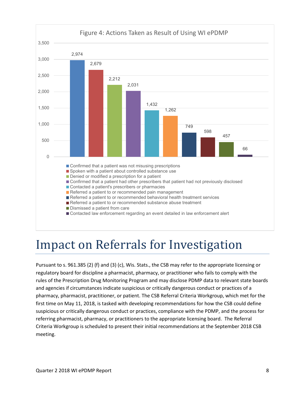

# <span id="page-7-0"></span>Impact on Referrals for Investigation

Pursuant to s. 961.385 (2) (f) and (3) (c), Wis. Stats., the CSB may refer to the appropriate licensing or regulatory board for discipline a pharmacist, pharmacy, or practitioner who fails to comply with the rules of the Prescription Drug Monitoring Program and may disclose PDMP data to relevant state boards and agencies if circumstances indicate suspicious or critically dangerous conduct or practices of a pharmacy, pharmacist, practitioner, or patient. The CSB Referral Criteria Workgroup, which met for the first time on May 11, 2018, is tasked with developing recommendations for how the CSB could define suspicious or critically dangerous conduct or practices, compliance with the PDMP, and the process for referring pharmacist, pharmacy, or practitioners to the appropriate licensing board. The Referral Criteria Workgroup is scheduled to present their initial recommendations at the September 2018 CSB meeting.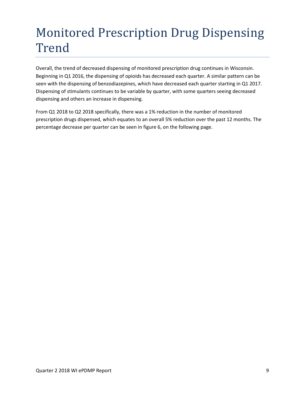# <span id="page-8-0"></span>Monitored Prescription Drug Dispensing Trend

Overall, the trend of decreased dispensing of monitored prescription drug continues in Wisconsin. Beginning in Q1 2016, the dispensing of opioids has decreased each quarter. A similar pattern can be seen with the dispensing of benzodiazepines, which have decreased each quarter starting in Q1 2017. Dispensing of stimulants continues to be variable by quarter, with some quarters seeing decreased dispensing and others an increase in dispensing.

From Q1 2018 to Q2 2018 specifically, there was a 1% reduction in the number of monitored prescription drugs dispensed, which equates to an overall 5% reduction over the past 12 months. The percentage decrease per quarter can be seen in figure 6, on the following page.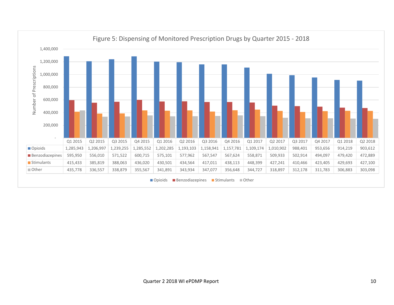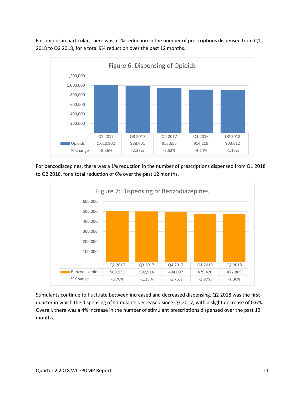For opioids in particular, there was a 1% reduction in the number of prescriptions dispensed from Q1 2018 to Q2 2018, for a total 9% reduction over the past 12 months.



For benzodiazepines, there was a 1% reduction in the number of prescriptions dispensed from Q1 2018 to Q2 2018, for a total reduction of 6% over the past 12 months.



Stimulants continue to fluctuate between increased and decreased dispensing. Q2 2018 was the first quarter in which the dispensing of stimulants decreased since Q3 2017, with a slight decrease of 0.6%. Overall, there was a 4% increase in the number of stimulant prescriptions dispensed over the past 12 months.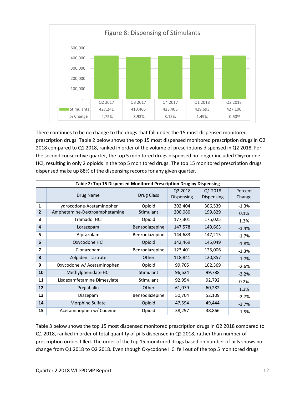

There continues to be no change to the drugs that fall under the 15 most dispensed monitored prescription drugs. Table 2 below shows the top 15 most dispensed monitored prescription drugs in Q2 2018 compared to Q1 2018, ranked in order of the volume of prescriptions dispensed in Q2 2018. For the second consecutive quarter, the top 5 monitored drugs dispensed no longer included Oxycodone HCl, resulting in only 2 opioids in the top 5 monitored drugs. The top 15 monitored prescription drugs dispensed make up 88% of the dispensing records for any given quarter.

| Table 2: Top 15 Dispensed Monitored Prescription Drug by Dispensing |                               |                |                              |                       |                   |
|---------------------------------------------------------------------|-------------------------------|----------------|------------------------------|-----------------------|-------------------|
|                                                                     | Drug Name                     | Drug Class     | Q2 2018<br><b>Dispensing</b> | Q1 2018<br>Dispensing | Percent<br>Change |
| 1                                                                   | Hydrocodone-Acetaminophen     | Opioid         | 302,404                      | 306,539               | $-1.3%$           |
| 2                                                                   | Amphetamine-Dextroamphetamine | Stimulant      | 200,080                      | 199,829               | 0.1%              |
| 3                                                                   | <b>Tramadol HCI</b>           | Opioid         | 177,301                      | 175,025               | 1.3%              |
| 4                                                                   | Lorazepam                     | Benzodiazepine | 147,578                      | 149,663               | $-1.4%$           |
| 5                                                                   | Alprazolam                    | Benzodiazepine | 144,683                      | 147,215               | $-1.7%$           |
| 6                                                                   | Oxycodone HCl                 | Opioid         | 142,469                      | 145,049               | $-1.8%$           |
| 7                                                                   | Clonazepam                    | Benzodiazepine | 123,401                      | 125,006               | $-1.3%$           |
| 8                                                                   | Zolpidem Tartrate             | Other          | 118,841                      | 120,857               | $-1.7%$           |
| 9                                                                   | Oxycodone w/ Acetaminophen    | Opioid         | 99,705                       | 102,369               | $-2.6%$           |
| 10                                                                  | Methylphenidate HCl           | Stimulant      | 96,624                       | 99,788                | $-3.2%$           |
| 11                                                                  | Lisdexamfetamine Dimesylate   | Stimulant      | 92,954                       | 92,792                | 0.2%              |
| $12 \overline{ }$                                                   | Pregabalin                    | Other          | 61,079                       | 60,282                | 1.3%              |
| 13                                                                  | Diazepam                      | Benzodiazepine | 50,704                       | 52,109                | $-2.7%$           |
| 14                                                                  | Morphine Sulfate              | Opioid         | 47,594                       | 49,444                | $-3.7%$           |
| 15                                                                  | Acetaminophen w/ Codeine      | Opioid         | 38,297                       | 38,866                | $-1.5%$           |

Table 3 below shows the top 15 most dispensed monitored prescription drugs in Q2 2018 compared to Q1 2018, ranked in order of total quantity of pills dispensed in Q2 2018, rather than number of prescription orders filled. The order of the top 15 monitored drugs based on number of pills shows no change from Q1 2018 to Q2 2018. Even though Oxycodone HCl fell out of the top 5 monitored drugs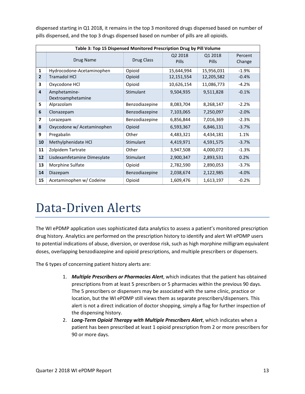| Table 3: Top 15 Dispensed Monitored Prescription Drug by Pill Volume |                             |                |              |              |         |  |  |
|----------------------------------------------------------------------|-----------------------------|----------------|--------------|--------------|---------|--|--|
|                                                                      |                             |                | Q2 2018      | Q1 2018      | Percent |  |  |
|                                                                      | Drug Name                   | Drug Class     | <b>Pills</b> | <b>Pills</b> | Change  |  |  |
| 1                                                                    | Hydrocodone-Acetaminophen   | Opioid         | 15,644,994   | 15,956,031   | $-1.9%$ |  |  |
| $\overline{2}$                                                       | <b>Tramadol HCI</b>         | Opioid         | 12,151,554   | 12,205,582   | $-0.4%$ |  |  |
| 3                                                                    | Oxycodone HCl               | Opioid         | 10,626,154   | 11,086,773   | $-4.2%$ |  |  |
| 4                                                                    | Amphetamine-                | Stimulant      | 9,504,935    | 9,511,828    | $-0.1%$ |  |  |
|                                                                      | Dextroamphetamine           |                |              |              |         |  |  |
| 5                                                                    | Alprazolam                  | Benzodiazepine | 8,083,704    | 8,268,147    | $-2.2%$ |  |  |
| 6                                                                    | Clonazepam                  | Benzodiazepine | 7,103,065    | 7,250,097    | $-2.0%$ |  |  |
| 7                                                                    | Lorazepam                   | Benzodiazepine | 6,856,844    | 7,016,369    | $-2.3%$ |  |  |
| 8                                                                    | Oxycodone w/ Acetaminophen  | Opioid         | 6,593,367    | 6,846,131    | $-3.7%$ |  |  |
| 9                                                                    | Pregabalin                  | Other          | 4,483,321    | 4,434,181    | 1.1%    |  |  |
| 10                                                                   | Methylphenidate HCl         | Stimulant      | 4,419,971    | 4,591,575    | $-3.7%$ |  |  |
| 11                                                                   | Zolpidem Tartrate           | Other          | 3,947,508    | 4,000,072    | $-1.3%$ |  |  |
| 12                                                                   | Lisdexamfetamine Dimesylate | Stimulant      | 2,900,347    | 2,893,531    | 0.2%    |  |  |
| 13                                                                   | Morphine Sulfate            | Opioid         | 2,782,590    | 2,890,053    | $-3.7%$ |  |  |
| 14                                                                   | Diazepam                    | Benzodiazepine | 2,038,674    | 2,122,985    | $-4.0%$ |  |  |
| 15                                                                   | Acetaminophen w/ Codeine    | Opioid         | 1,609,476    | 1,613,197    | $-0.2%$ |  |  |

dispensed starting in Q1 2018, it remains in the top 3 monitored drugs dispensed based on number of pills dispensed, and the top 3 drugs dispensed based on number of pills are all opioids.

## <span id="page-12-0"></span>Data-Driven Alerts

The WI ePDMP application uses sophisticated data analytics to assess a patient's monitored prescription drug history. Analytics are performed on the prescription history to identify and alert WI ePDMP users to potential indications of abuse, diversion, or overdose risk, such as high morphine milligram equivalent doses, overlapping benzodiazepine and opioid prescriptions, and multiple prescribers or dispensers.

The 6 types of concerning patient history alerts are:

- 1. *Multiple Prescribers or Pharmacies Alert*, which indicates that the patient has obtained prescriptions from at least 5 prescribers or 5 pharmacies within the previous 90 days. The 5 prescribers or dispensers may be associated with the same clinic, practice or location, but the WI ePDMP still views them as separate prescribers/dispensers. This alert is not a direct indication of doctor shopping, simply a flag for further inspection of the dispensing history.
- 2. *Long-Term Opioid Therapy with Multiple Prescribers Alert*, which indicates when a patient has been prescribed at least 1 opioid prescription from 2 or more prescribers for 90 or more days.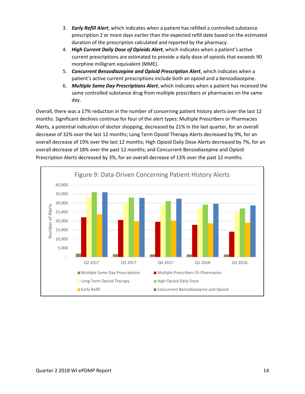- 3. *Early Refill Alert*, which indicates when a patient has refilled a controlled substance prescription 2 or more days earlier than the expected refill date based on the estimated duration of the prescription calculated and reported by the pharmacy.
- 4. *High Current Daily Dose of Opioids Alert*, which indicates when a patient's active current prescriptions are estimated to provide a daily dose of opioids that exceeds 90 morphine milligram equivalent (MME).
- 5. *Concurrent Benzodiazepine and Opioid Prescription Alert*, which indicates when a patient's active current prescriptions include both an opioid and a benzodiazepine.
- 6. *Multiple Same Day Prescriptions Alert*, which indicates when a patient has received the same controlled substance drug from multiple prescribers or pharmacies on the same day.

Overall, there was a 17% reduction in the number of concerning patient history alerts over the last 12 months. Significant declines continue for four of the alert types: Multiple Prescribers or Pharmacies Alerts, a potential indication of doctor shopping, decreased by 21% in the last quarter, for an overall decrease of 32% over the last 12 months; Long Term Opioid Therapy Alerts decreased by 9%, for an overall decrease of 19% over the last 12 months; High Opioid Daily Dose Alerts decreased by 7%, for an overall decrease of 18% over the past 12 months; and Concurrent Benzodiazepine and Opioid Prescription Alerts decreased by 3%, for an overall decrease of 13% over the past 12 months.

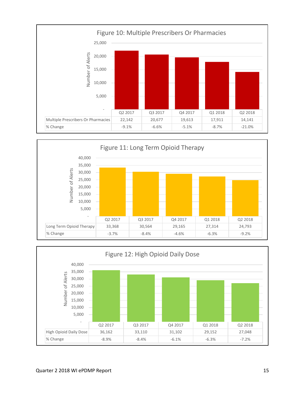



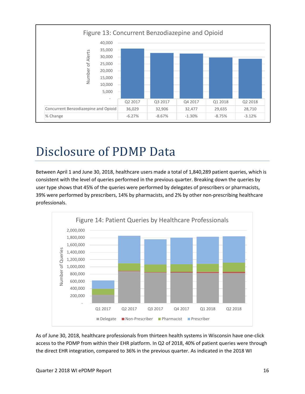

## <span id="page-15-0"></span>Disclosure of PDMP Data

Between April 1 and June 30, 2018, healthcare users made a total of 1,840,289 patient queries, which is consistent with the level of queries performed in the previous quarter. Breaking down the queries by user type shows that 45% of the queries were performed by delegates of prescribers or pharmacists, 39% were performed by prescribers, 14% by pharmacists, and 2% by other non-prescribing healthcare professionals.



As of June 30, 2018, healthcare professionals from thirteen health systems in Wisconsin have one-click access to the PDMP from within their EHR platform. In Q2 of 2018, 40% of patient queries were through the direct EHR integration, compared to 36% in the previous quarter. As indicated in the 2018 WI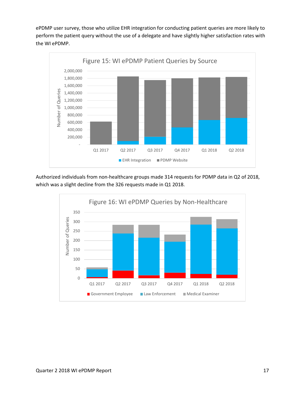ePDMP user survey, those who utilize EHR integration for conducting patient queries are more likely to perform the patient query without the use of a delegate and have slightly higher satisfaction rates with the WI ePDMP.



Authorized individuals from non-healthcare groups made 314 requests for PDMP data in Q2 of 2018, which was a slight decline from the 326 requests made in Q1 2018.

<span id="page-16-0"></span>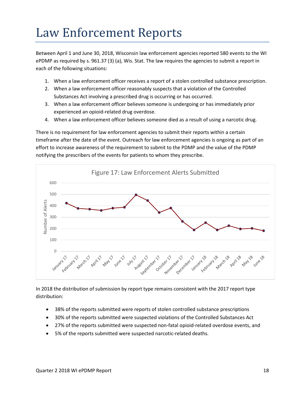# Law Enforcement Reports

Between April 1 and June 30, 2018, Wisconsin law enforcement agencies reported 580 events to the WI ePDMP as required by s. [961.37 \(3\) \(a\),](https://docs.legis.wisconsin.gov/document/statutes/961.37(3)(a)) Wis. Stat. The law requires the agencies to submit a report in each of the following situations:

- 1. When a law enforcement officer receives a report of a stolen controlled substance prescription.
- 2. When a law enforcement officer reasonably suspects that a violation of the Controlled Substances Act involving a prescribed drug is occurring or has occurred.
- 3. When a law enforcement officer believes someone is undergoing or has immediately prior experienced an opioid-related drug overdose.
- 4. When a law enforcement officer believes someone died as a result of using a narcotic drug.

There is no requirement for law enforcement agencies to submit their reports within a certain timeframe after the date of the event. Outreach for law enforcement agencies is ongoing as part of an effort to increase awareness of the requirement to submit to the PDMP and the value of the PDMP notifying the prescribers of the events for patients to whom they prescribe.



In 2018 the distribution of submission by report type remains consistent with the 2017 report type distribution:

- 38% of the reports submitted were reports of stolen controlled substance prescriptions
- 30% of the reports submitted were suspected violations of the Controlled Substances Act
- 27% of the reports submitted were suspected non-fatal opioid-related overdose events, and
- 5% of the reports submitted were suspected narcotic-related deaths.